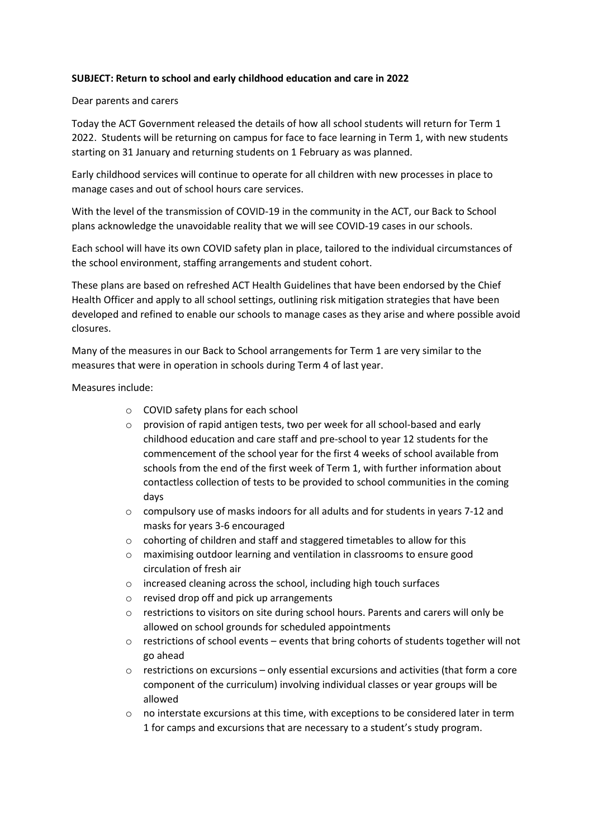## **SUBJECT: Return to school and early childhood education and care in 2022**

## Dear parents and carers

Today the ACT Government released the details of how all school students will return for Term 1 2022. Students will be returning on campus for face to face learning in Term 1, with new students starting on 31 January and returning students on 1 February as was planned.

Early childhood services will continue to operate for all children with new processes in place to manage cases and out of school hours care services.

With the level of the transmission of COVID-19 in the community in the ACT, our Back to School plans acknowledge the unavoidable reality that we will see COVID-19 cases in our schools.

Each school will have its own COVID safety plan in place, tailored to the individual circumstances of the school environment, staffing arrangements and student cohort.

These plans are based on refreshed ACT Health Guidelines that have been endorsed by the Chief Health Officer and apply to all school settings, outlining risk mitigation strategies that have been developed and refined to enable our schools to manage cases as they arise and where possible avoid closures.

Many of the measures in our Back to School arrangements for Term 1 are very similar to the measures that were in operation in schools during Term 4 of last year.

Measures include:

- o COVID safety plans for each school
- o provision of rapid antigen tests, two per week for all school-based and early childhood education and care staff and pre-school to year 12 students for the commencement of the school year for the first 4 weeks of school available from schools from the end of the first week of Term 1, with further information about contactless collection of tests to be provided to school communities in the coming days
- $\circ$  compulsory use of masks indoors for all adults and for students in years 7-12 and masks for years 3-6 encouraged
- o cohorting of children and staff and staggered timetables to allow for this
- o maximising outdoor learning and ventilation in classrooms to ensure good circulation of fresh air
- o increased cleaning across the school, including high touch surfaces
- o revised drop off and pick up arrangements
- o restrictions to visitors on site during school hours. Parents and carers will only be allowed on school grounds for scheduled appointments
- o restrictions of school events events that bring cohorts of students together will not go ahead
- restrictions on excursions only essential excursions and activities (that form a core component of the curriculum) involving individual classes or year groups will be allowed
- o no interstate excursions at this time, with exceptions to be considered later in term 1 for camps and excursions that are necessary to a student's study program.